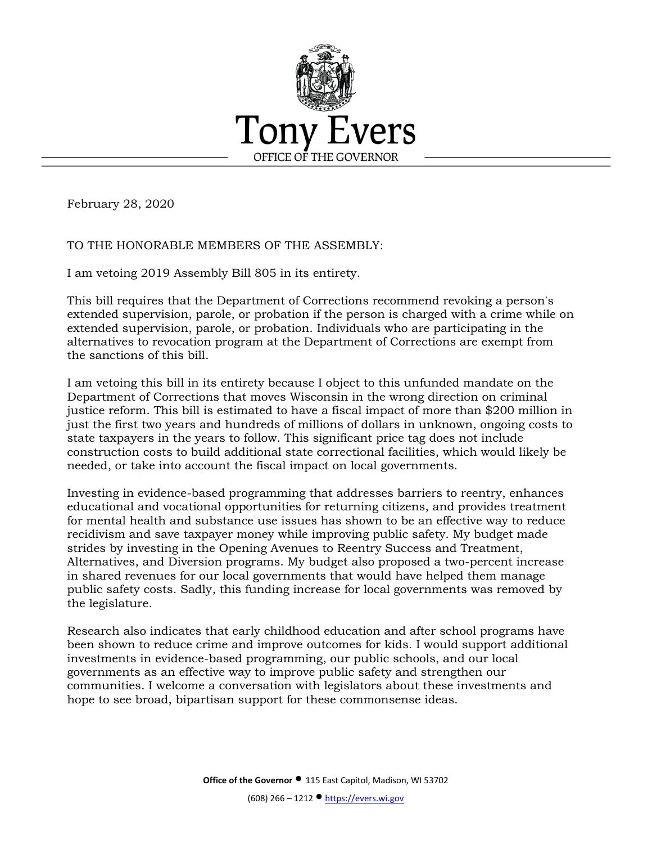

February 28, 2020

## TO THE HONORABLE MEMBERS OF THE ASSEMBLY:

I am vetoing 2019 Assembly Bill 805 in its entirety.

This bill requires that the Department of Corrections recommend revoking a person's extended supervision, parole, or probation if the person is charged with a crime while on extended supervision, parole, or probation. Individuals who are participating in the alternatives to revocation program at the Department of Corrections are exempt from the sanctions of this bill.

I am vetoing this bill in its entirety because I object to this unfunded mandate on the Department of Corrections that moves Wisconsin in the wrong direction on criminal justice reform. This bill is estimated to have a fiscal impact of more than \$200 million in just the first two years and hundreds of millions of dollars in unknown, ongoing costs to state taxpayers in the years to follow. This significant price tag does not include construction costs to build additional state correctional facilities, which would likely be needed, or take into account the fiscal impact on local governments.

Investing in evidence-based programming that addresses barriers to reentry, enhances educational and vocational opportunities for returning citizens, and provides treatment for mental health and substance use issues has shown to be an effective way to reduce recidivism and save taxpayer money while improving public safety. My budget made strides by investing in the Opening Avenues to Reentry Success and Treatment, Alternatives, and Diversion programs. My budget also proposed a two-percent increase in shared revenues for our local governments that would have helped them manage public safety costs. Sadly, this funding increase for local governments was removed by the legislature.

Research also indicates that early childhood education and after school programs have been shown to reduce crime and improve outcomes for kids. I would support additional investments in evidence-based programming, our public schools, and our local governments as an effective way to improve public safety and strengthen our communities. I welcome a conversation with legislators about these investments and hope to see broad, bipartisan support for these commonsense ideas.